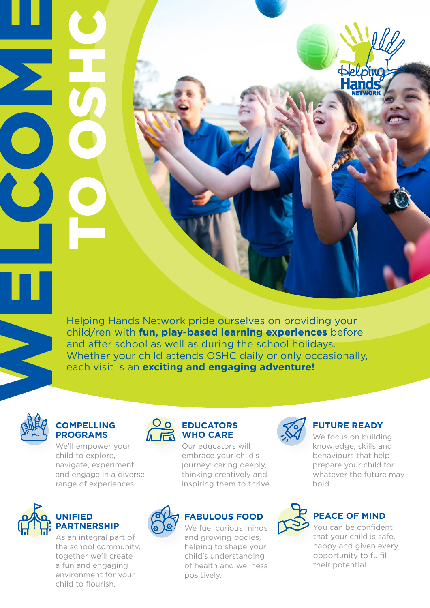Helping Hands Network pride ourselves on providing your child/ren with **fun, play-based learning experiences** before and after school as well as during the school holidays. Whether your child attends OSHC daily or only occasionally, each visit is an **exciting and engaging adventure!**



WELCOMES

## **COMPELLING PROGRAMS**

Helping Hands Attadale - 2021

COSHC<br>COSHC

We'll empower your child to explore, navigate, experiment and engage in a diverse range of experiences.



## **UNIFIED PARTNERSHIP**

As an integral part of the school community, together we'll create a fun and engaging environment for your child to flourish.



Our educators will embrace your child's journey: caring deeply, thinking creatively and inspiring them to thrive.



## **FABULOUS FOOD**

We fuel curious minds and growing bodies, helping to shape your child's understanding of health and wellness positively.



## **FUTURE READY**

We focus on building knowledge, skills and behaviours that help prepare your child for whatever the future may hold.



## **PEACE OF MIND**

You can be confident that your child is safe, happy and given every opportunity to fulfil their potential.